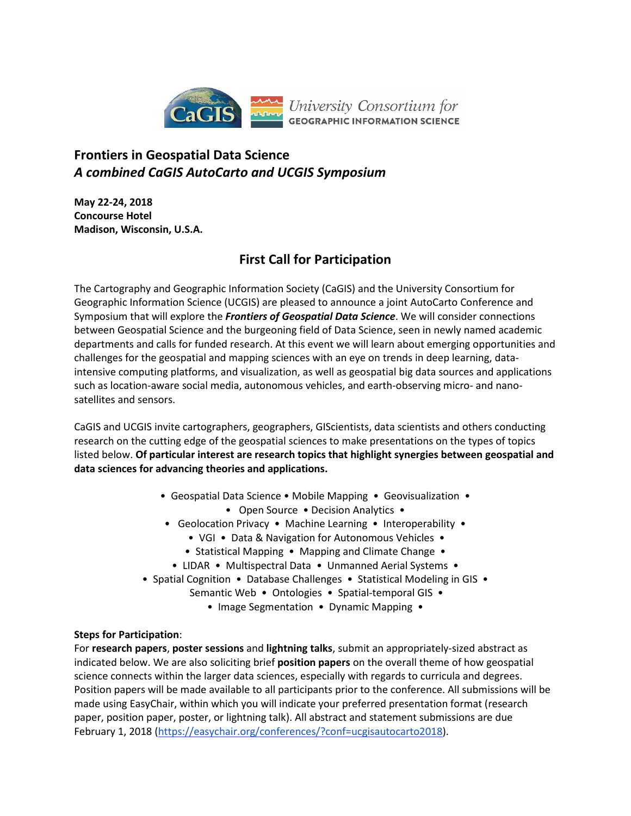

## **Frontiers in Geospatial Data Science** *A combined CaGIS AutoCarto and UCGIS Symposium*

**May 22-24, 2018 Concourse Hotel Madison, Wisconsin, U.S.A.**

# **First Call for Participation**

The Cartography and Geographic Information Society (CaGIS) and the University Consortium for Geographic Information Science (UCGIS) are pleased to announce a joint AutoCarto Conference and Symposium that will explore the *Frontiers of Geospatial Data Science*. We will consider connections between Geospatial Science and the burgeoning field of Data Science, seen in newly named academic departments and calls for funded research. At this event we will learn about emerging opportunities and challenges for the geospatial and mapping sciences with an eye on trends in deep learning, dataintensive computing platforms, and visualization, as well as geospatial big data sources and applications such as location-aware social media, autonomous vehicles, and earth-observing micro- and nanosatellites and sensors.

CaGIS and UCGIS invite cartographers, geographers, GIScientists, data scientists and others conducting research on the cutting edge of the geospatial sciences to make presentations on the types of topics listed below. **Of particular interest are research topics that highlight synergies between geospatial and data sciences for advancing theories and applications.**

- Geospatial Data Science Mobile Mapping Geovisualization
	- Open Source Decision Analytics •
- Geolocation Privacy Machine Learning Interoperability
	- VGI Data & Navigation for Autonomous Vehicles •
	- Statistical Mapping Mapping and Climate Change •
	- LIDAR Multispectral Data Unmanned Aerial Systems •
- Spatial Cognition Database Challenges Statistical Modeling in GIS
	- Semantic Web Ontologies Spatial-temporal GIS
		- Image Segmentation Dynamic Mapping •

### **Steps for Participation**:

For **research papers**, **poster sessions** and **lightning talks**, submit an appropriately-sized abstract as indicated below. We are also soliciting brief **position papers** on the overall theme of how geospatial science connects within the larger data sciences, especially with regards to curricula and degrees. Position papers will be made available to all participants prior to the conference. All submissions will be made using EasyChair, within which you will indicate your preferred presentation format (research paper, position paper, poster, or lightning talk). All abstract and statement submissions are due February 1, 2018 [\(https://easychair.org/conferences/?conf=ucgisautocarto2018\)](https://easychair.org/conferences/?conf=ucgisautocarto2018).